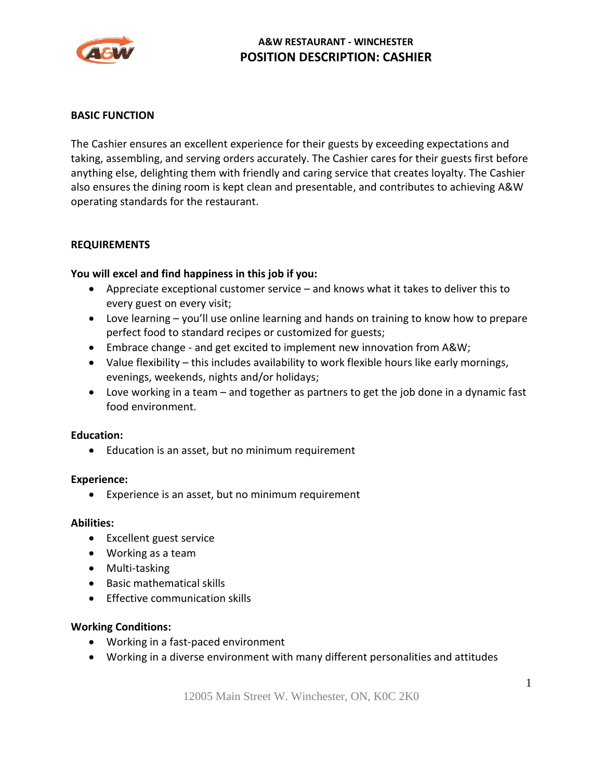

## **A&W RESTAURANT - WINCHESTER POSITION DESCRIPTION: CASHIER**

#### **BASIC FUNCTION**

The Cashier ensures an excellent experience for their guests by exceeding expectations and taking, assembling, and serving orders accurately. The Cashier cares for their guests first before anything else, delighting them with friendly and caring service that creates loyalty. The Cashier also ensures the dining room is kept clean and presentable, and contributes to achieving A&W operating standards for the restaurant.

#### **REQUIREMENTS**

### **You will excel and find happiness in this job if you:**

- Appreciate exceptional customer service and knows what it takes to deliver this to every guest on every visit;
- Love learning you'll use online learning and hands on training to know how to prepare perfect food to standard recipes or customized for guests;
- Embrace change and get excited to implement new innovation from A&W;
- Value flexibility this includes availability to work flexible hours like early mornings, evenings, weekends, nights and/or holidays;
- Love working in a team and together as partners to get the job done in a dynamic fast food environment.

#### **Education:**

• Education is an asset, but no minimum requirement

#### **Experience:**

• Experience is an asset, but no minimum requirement

#### **Abilities:**

- Excellent guest service
- Working as a team
- Multi-tasking
- Basic mathematical skills
- Effective communication skills

#### **Working Conditions:**

- Working in a fast-paced environment
- Working in a diverse environment with many different personalities and attitudes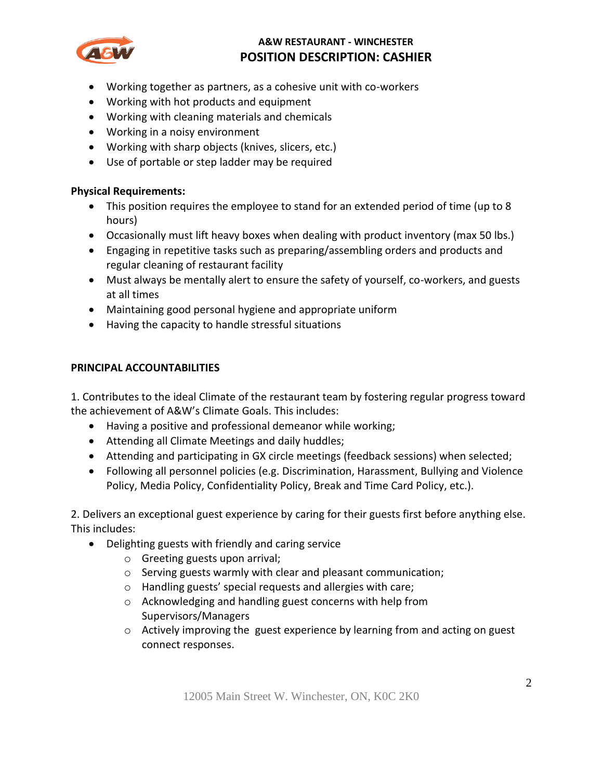

## **A&W RESTAURANT - WINCHESTER POSITION DESCRIPTION: CASHIER**

- Working together as partners, as a cohesive unit with co-workers
- Working with hot products and equipment
- Working with cleaning materials and chemicals
- Working in a noisy environment
- Working with sharp objects (knives, slicers, etc.)
- Use of portable or step ladder may be required

### **Physical Requirements:**

- This position requires the employee to stand for an extended period of time (up to 8 hours)
- Occasionally must lift heavy boxes when dealing with product inventory (max 50 lbs.)
- Engaging in repetitive tasks such as preparing/assembling orders and products and regular cleaning of restaurant facility
- Must always be mentally alert to ensure the safety of yourself, co-workers, and guests at all times
- Maintaining good personal hygiene and appropriate uniform
- Having the capacity to handle stressful situations

## **PRINCIPAL ACCOUNTABILITIES**

1. Contributes to the ideal Climate of the restaurant team by fostering regular progress toward the achievement of A&W's Climate Goals. This includes:

- Having a positive and professional demeanor while working;
- Attending all Climate Meetings and daily huddles;
- Attending and participating in GX circle meetings (feedback sessions) when selected;
- Following all personnel policies (e.g. Discrimination, Harassment, Bullying and Violence Policy, Media Policy, Confidentiality Policy, Break and Time Card Policy, etc.).

2. Delivers an exceptional guest experience by caring for their guests first before anything else. This includes:

- Delighting guests with friendly and caring service
	- o Greeting guests upon arrival;
	- o Serving guests warmly with clear and pleasant communication;
	- o Handling guests' special requests and allergies with care;
	- o Acknowledging and handling guest concerns with help from Supervisors/Managers
	- $\circ$  Actively improving the guest experience by learning from and acting on guest connect responses.